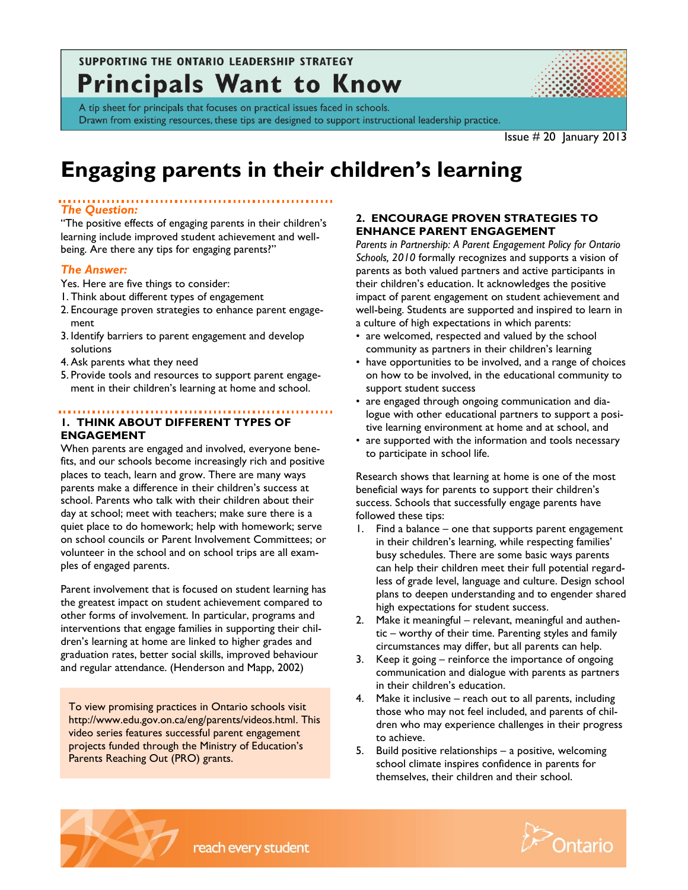# **SUPPORTING THE ONTARIO LEADERSHIP STRATEGY Principals Want to Know**



A tip sheet for principals that focuses on practical issues faced in schools. Drawn from existing resources, these tips are designed to support instructional leadership practice.

Issue # 20 January 2013

# **Engaging parents in their children's learning**

# *The Question:*

"The positive effects of engaging parents in their children's learning include improved student achievement and wellbeing. Are there any tips for engaging parents?"

# *The Answer:*

- Yes. Here are five things to consider:
- 1. Think about different types of engagement
- 2. Encourage proven strategies to enhance parent engagement
- 3. Identify barriers to parent engagement and develop solutions
- 4. Ask parents what they need
- 5. Provide tools and resources to support parent engagement in their children's learning at home and school.

#### **1. THINK ABOUT DIFFERENT TYPES OF ENGAGEMENT**

When parents are engaged and involved, everyone benefits, and our schools become increasingly rich and positive places to teach, learn and grow. There are many ways parents make a difference in their children's success at school. Parents who talk with their children about their day at school; meet with teachers; make sure there is a quiet place to do homework; help with homework; serve on school councils or Parent Involvement Committees; or volunteer in the school and on school trips are all examples of engaged parents.

Parent involvement that is focused on student learning has the greatest impact on student achievement compared to other forms of involvement. In particular, programs and interventions that engage families in supporting their children's learning at home are linked to higher grades and graduation rates, better social skills, improved behaviour and regular attendance. (Henderson and Mapp, 2002)

To view promising practices in Ontario schools visit [http://www.edu.gov.on.ca/eng/parents/videos.html.](http://www.edu.gov.on.ca/eng/parents/videos.html) This video series features successful parent engagement projects funded through the Ministry of Education's Parents Reaching Out (PRO) grants.

reach every student

#### **2. ENCOURAGE PROVEN STRATEGIES TO ENHANCE PARENT ENGAGEMENT**

*Parents in Partnership: A Parent Engagement Policy for Ontario Schools, 2010* formally recognizes and supports a vision of parents as both valued partners and active participants in their children's education. It acknowledges the positive impact of parent engagement on student achievement and well-being. Students are supported and inspired to learn in a culture of high expectations in which parents:

- are welcomed, respected and valued by the school community as partners in their children's learning
- have opportunities to be involved, and a range of choices on how to be involved, in the educational community to support student success
- are engaged through ongoing communication and dialogue with other educational partners to support a positive learning environment at home and at school, and
- are supported with the information and tools necessary to participate in school life.

Research shows that learning at home is one of the most beneficial ways for parents to support their children's success. Schools that successfully engage parents have followed these tips:

- 1. Find a balance one that supports parent engagement in their children's learning, while respecting families' busy schedules. There are some basic ways parents can help their children meet their full potential regardless of grade level, language and culture. Design school plans to deepen understanding and to engender shared high expectations for student success.
- 2. Make it meaningful relevant, meaningful and authentic – worthy of their time. Parenting styles and family circumstances may differ, but all parents can help.
- 3. Keep it going reinforce the importance of ongoing communication and dialogue with parents as partners in their children's education.
- 4. Make it inclusive reach out to all parents, including those who may not feel included, and parents of children who may experience challenges in their progress to achieve.
- 5. Build positive relationships a positive, welcoming school climate inspires confidence in parents for themselves, their children and their school.